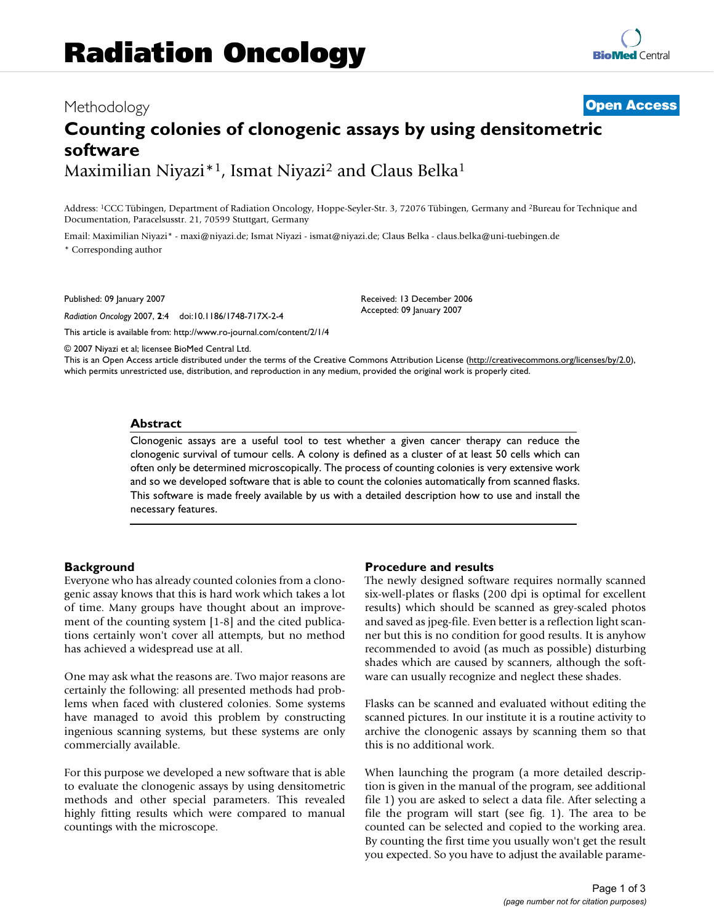# Methodology **[Open Access](http://www.biomedcentral.com/info/about/charter/)**

# **Counting colonies of clonogenic assays by using densitometric software** Maximilian Niyazi<sup>\*1</sup>, Ismat Niyazi<sup>2</sup> and Claus Belka<sup>1</sup>

Address: 1CCC Tübingen, Department of Radiation Oncology, Hoppe-Seyler-Str. 3, 72076 Tübingen, Germany and 2Bureau for Technique and Documentation, Paracelsusstr. 21, 70599 Stuttgart, Germany

Email: Maximilian Niyazi\* - maxi@niyazi.de; Ismat Niyazi - ismat@niyazi.de; Claus Belka - claus.belka@uni-tuebingen.de \* Corresponding author

Published: 09 January 2007

*Radiation Oncology* 2007, **2**:4 doi:10.1186/1748-717X-2-4

[This article is available from: http://www.ro-journal.com/content/2/1/4](http://www.ro-journal.com/content/2/1/4)

Received: 13 December 2006 Accepted: 09 January 2007

© 2007 Niyazi et al; licensee BioMed Central Ltd.

This is an Open Access article distributed under the terms of the Creative Commons Attribution License [\(http://creativecommons.org/licenses/by/2.0\)](http://creativecommons.org/licenses/by/2.0), which permits unrestricted use, distribution, and reproduction in any medium, provided the original work is properly cited.

#### **Abstract**

Clonogenic assays are a useful tool to test whether a given cancer therapy can reduce the clonogenic survival of tumour cells. A colony is defined as a cluster of at least 50 cells which can often only be determined microscopically. The process of counting colonies is very extensive work and so we developed software that is able to count the colonies automatically from scanned flasks. This software is made freely available by us with a detailed description how to use and install the necessary features.

#### **Background**

Everyone who has already counted colonies from a clonogenic assay knows that this is hard work which takes a lot of time. Many groups have thought about an improvement of the counting system [1-8] and the cited publications certainly won't cover all attempts, but no method has achieved a widespread use at all.

One may ask what the reasons are. Two major reasons are certainly the following: all presented methods had problems when faced with clustered colonies. Some systems have managed to avoid this problem by constructing ingenious scanning systems, but these systems are only commercially available.

For this purpose we developed a new software that is able to evaluate the clonogenic assays by using densitometric methods and other special parameters. This revealed highly fitting results which were compared to manual countings with the microscope.

#### **Procedure and results**

The newly designed software requires normally scanned six-well-plates or flasks (200 dpi is optimal for excellent results) which should be scanned as grey-scaled photos and saved as jpeg-file. Even better is a reflection light scanner but this is no condition for good results. It is anyhow recommended to avoid (as much as possible) disturbing shades which are caused by scanners, although the software can usually recognize and neglect these shades.

Flasks can be scanned and evaluated without editing the scanned pictures. In our institute it is a routine activity to archive the clonogenic assays by scanning them so that this is no additional work.

When launching the program (a more detailed description is given in the manual of the program, see additional file 1) you are asked to select a data file. After selecting a file the program will start (see fig. 1). The area to be counted can be selected and copied to the working area. By counting the first time you usually won't get the result you expected. So you have to adjust the available parame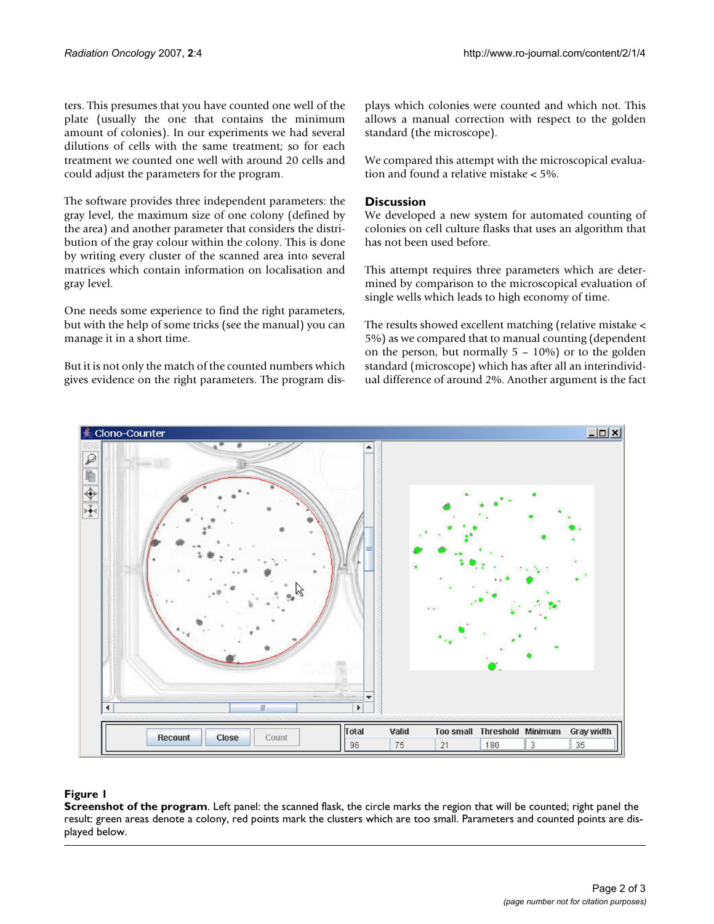ters. This presumes that you have counted one well of the plate (usually the one that contains the minimum amount of colonies). In our experiments we had several dilutions of cells with the same treatment; so for each treatment we counted one well with around 20 cells and could adjust the parameters for the program.

The software provides three independent parameters: the gray level, the maximum size of one colony (defined by the area) and another parameter that considers the distribution of the gray colour within the colony. This is done by writing every cluster of the scanned area into several matrices which contain information on localisation and gray level.

One needs some experience to find the right parameters, but with the help of some tricks (see the manual) you can manage it in a short time.

But it is not only the match of the counted numbers which gives evidence on the right parameters. The program displays which colonies were counted and which not. This allows a manual correction with respect to the golden standard (the microscope).

We compared this attempt with the microscopical evaluation and found a relative mistake < 5%.

# **Discussion**

We developed a new system for automated counting of colonies on cell culture flasks that uses an algorithm that has not been used before.

This attempt requires three parameters which are determined by comparison to the microscopical evaluation of single wells which leads to high economy of time.

The results showed excellent matching (relative mistake < 5%) as we compared that to manual counting (dependent on the person, but normally 5 – 10%) or to the golden standard (microscope) which has after all an interindividual difference of around 2%. Another argument is the fact



## **Figure 1**

**Screenshot of the program**. Left panel: the scanned flask, the circle marks the region that will be counted; right panel the result: green areas denote a colony, red points mark the clusters which are too small. Parameters and counted points are displayed below.